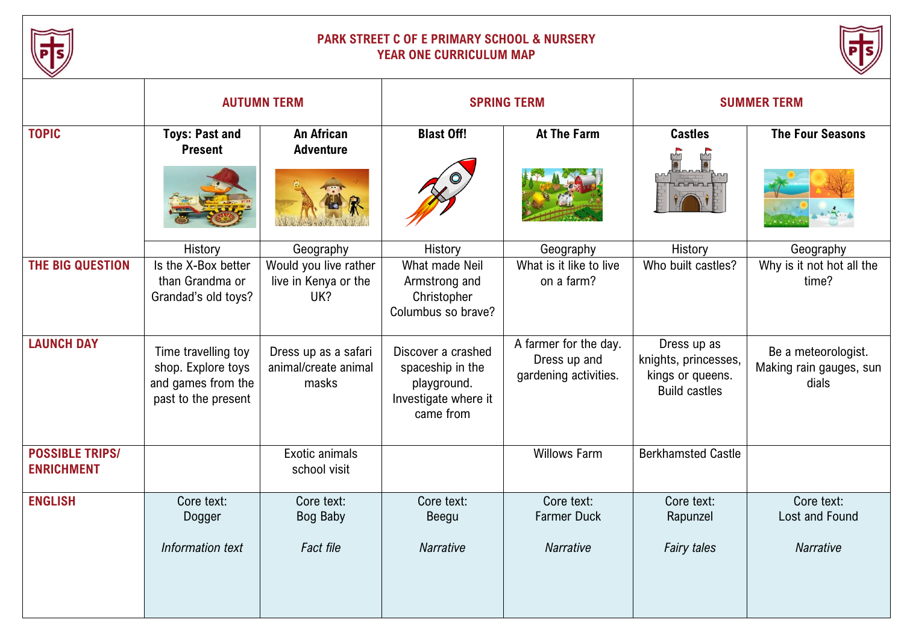

## **PARK STREET C OF E PRIMARY SCHOOL & NURSERY YEAR ONE CURRICULUM MAP**



|                                             | <b>AUTUMN TERM</b>                                                                     |                                                                   | <b>SPRING TERM</b>                                                                         |                                                                | <b>SUMMER TERM</b>                                                              |                                                         |
|---------------------------------------------|----------------------------------------------------------------------------------------|-------------------------------------------------------------------|--------------------------------------------------------------------------------------------|----------------------------------------------------------------|---------------------------------------------------------------------------------|---------------------------------------------------------|
| <b>TOPIC</b>                                | <b>Toys: Past and</b><br><b>Present</b>                                                | <b>An African</b><br><b>Adventure</b>                             | <b>Blast Off!</b>                                                                          | <b>At The Farm</b>                                             | <b>Castles</b>                                                                  | <b>The Four Seasons</b>                                 |
| THE BIG QUESTION                            | History<br>Is the X-Box better<br>than Grandma or<br>Grandad's old toys?               | Geography<br>Would you live rather<br>live in Kenya or the<br>UK? | History<br>What made Neil<br>Armstrong and<br>Christopher<br>Columbus so brave?            | Geography<br>What is it like to live<br>on a farm?             | History<br>Who built castles?                                                   | Geography<br>Why is it not hot all the<br>time?         |
| <b>LAUNCH DAY</b>                           | Time travelling toy<br>shop. Explore toys<br>and games from the<br>past to the present | Dress up as a safari<br>animal/create animal<br>masks             | Discover a crashed<br>spaceship in the<br>playground.<br>Investigate where it<br>came from | A farmer for the day.<br>Dress up and<br>gardening activities. | Dress up as<br>knights, princesses,<br>kings or queens.<br><b>Build castles</b> | Be a meteorologist.<br>Making rain gauges, sun<br>dials |
| <b>POSSIBLE TRIPS/</b><br><b>ENRICHMENT</b> |                                                                                        | Exotic animals<br>school visit                                    |                                                                                            | <b>Willows Farm</b>                                            | <b>Berkhamsted Castle</b>                                                       |                                                         |
| <b>ENGLISH</b>                              | Core text:<br>Dogger<br>Information text                                               | Core text:<br><b>Bog Baby</b><br><b>Fact file</b>                 | Core text:<br>Beegu<br><b>Narrative</b>                                                    | Core text:<br><b>Farmer Duck</b><br><b>Narrative</b>           | Core text:<br>Rapunzel<br><b>Fairy tales</b>                                    | Core text:<br>Lost and Found<br><b>Narrative</b>        |